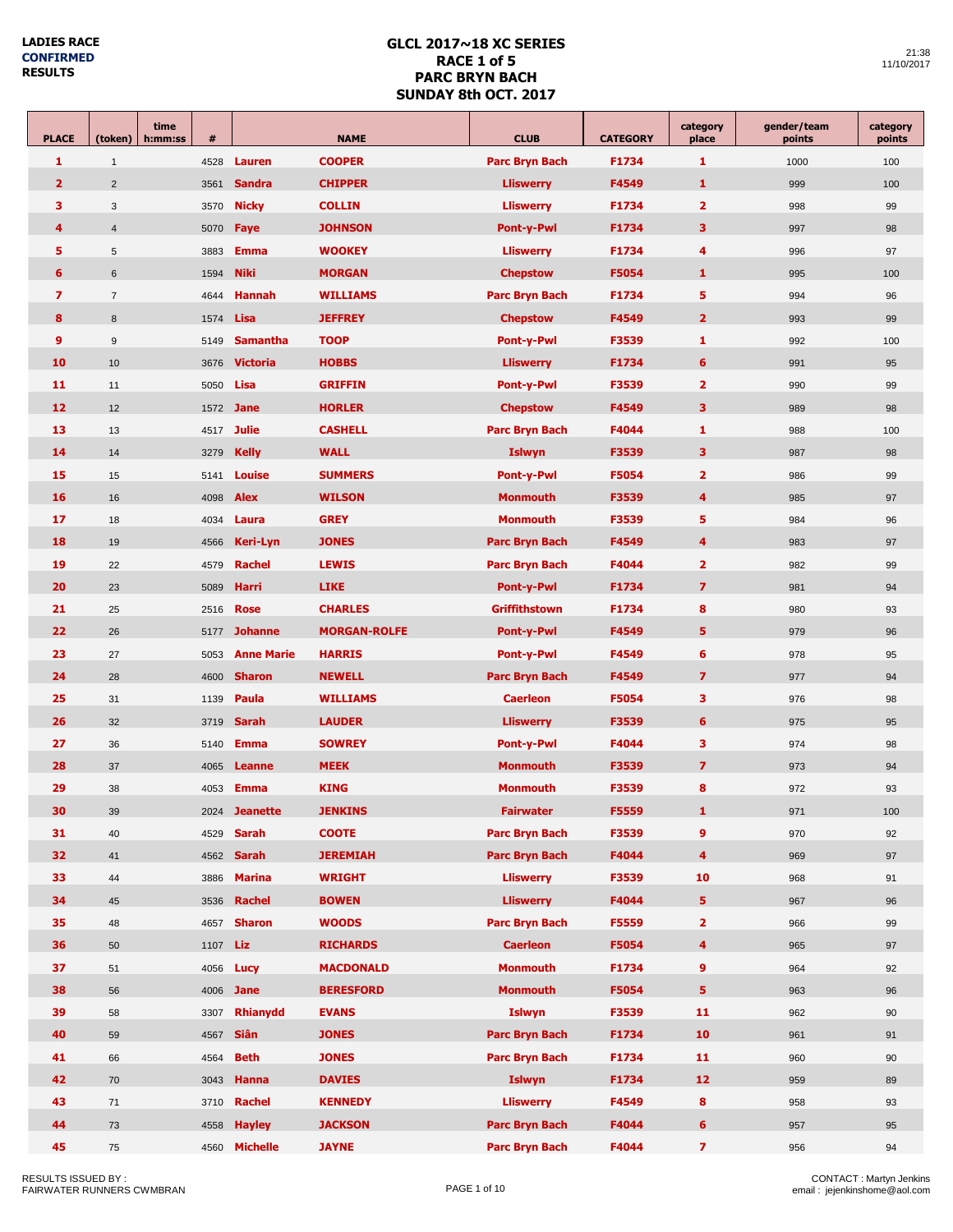п

| <b>PLACE</b>   | (token)          | time<br>h:mm:ss | $\#$ | <b>NAME</b>        |                                                   | <b>CLUB</b>                           | <b>CATEGORY</b> | category<br>place       | gender/team<br>points | category<br>points |
|----------------|------------------|-----------------|------|--------------------|---------------------------------------------------|---------------------------------------|-----------------|-------------------------|-----------------------|--------------------|
| 1              | $\mathbf{1}$     |                 | 4528 | <b>Lauren</b>      | <b>COOPER</b>                                     | <b>Parc Bryn Bach</b>                 | F1734           | 1                       | 1000                  | 100                |
| $\overline{2}$ | $\overline{2}$   |                 | 3561 | <b>Sandra</b>      | <b>CHIPPER</b>                                    | <b>Lliswerry</b>                      | F4549           | $\mathbf{1}$            | 999                   | 100                |
| 3              | 3                |                 | 3570 | <b>Nicky</b>       | <b>COLLIN</b>                                     | <b>Lliswerry</b>                      | F1734           | $\overline{2}$          | 998                   | 99                 |
| 4              | $\overline{4}$   |                 | 5070 | Faye               | 3<br><b>JOHNSON</b><br><b>Pont-y-Pwl</b><br>F1734 |                                       | 997             | 98                      |                       |                    |
| 5              | 5                |                 | 3883 | <b>Emma</b>        | <b>WOOKEY</b>                                     | <b>Lliswerry</b>                      | F1734           | $\overline{\mathbf{4}}$ | 996                   | 97                 |
| 6              | 6                |                 | 1594 | <b>Niki</b>        | <b>MORGAN</b>                                     | <b>Chepstow</b>                       | F5054           | 1                       | 995                   | 100                |
| $\overline{ }$ | $\overline{7}$   |                 | 4644 | <b>Hannah</b>      | <b>WILLIAMS</b>                                   | <b>Parc Bryn Bach</b>                 | F1734           | 5                       | 994                   | 96                 |
| 8              | $\boldsymbol{8}$ |                 | 1574 | Lisa               | <b>JEFFREY</b>                                    | <b>Chepstow</b>                       | F4549           | $\overline{2}$          | 993                   | 99                 |
| 9              | $9\,$            |                 | 5149 | <b>Samantha</b>    | <b>TOOP</b>                                       | <b>Pont-y-Pwl</b>                     | F3539           | 1                       | 992                   | 100                |
| 10             | 10               |                 | 3676 | <b>Victoria</b>    | <b>HOBBS</b>                                      | <b>Lliswerry</b>                      | F1734           | $6\phantom{1}6$         | 991                   | 95                 |
| 11             | 11               |                 | 5050 | Lisa               | <b>GRIFFIN</b>                                    | <b>Pont-y-Pwl</b>                     | F3539           | $\overline{\mathbf{2}}$ | 990                   | 99                 |
| 12             | 12               |                 |      | 1572 <b>Jane</b>   | <b>HORLER</b>                                     | <b>Chepstow</b>                       | F4549           | 3                       | 989                   | 98                 |
| 13             | 13               |                 |      | 4517 <b>Julie</b>  | <b>CASHELL</b>                                    | <b>Parc Bryn Bach</b>                 | F4044           | 1                       | 988                   | 100                |
| 14             | 14               |                 | 3279 | <b>Kelly</b>       | <b>WALL</b>                                       | <b>Islwyn</b>                         | F3539           | 3                       | 987                   | 98                 |
| 15             | 15               |                 | 5141 | <b>Louise</b>      | <b>SUMMERS</b>                                    | <b>Pont-y-Pwl</b>                     | F5054           | $\overline{2}$          | 986                   | 99                 |
| 16             | 16               |                 | 4098 | <b>Alex</b>        | <b>WILSON</b>                                     | <b>Monmouth</b>                       | F3539           | $\overline{\bf 4}$      | 985                   | 97                 |
| 17             | 18               |                 | 4034 | Laura              | <b>GREY</b>                                       | <b>Monmouth</b>                       | F3539           | 5                       | 984                   | 96                 |
| 18             | 19               |                 | 4566 | Keri-Lyn           | <b>JONES</b>                                      | <b>Parc Bryn Bach</b>                 | F4549           | $\overline{\bf 4}$      | 983                   | 97                 |
| 19             | 22               |                 | 4579 | <b>Rachel</b>      | <b>LEWIS</b>                                      | <b>Parc Bryn Bach</b>                 | F4044           | $\overline{\mathbf{2}}$ | 982                   | 99                 |
| 20             | 23               |                 | 5089 | <b>Harri</b>       | <b>LIKE</b>                                       | Pont-y-Pwl                            | F1734           | $\overline{\mathbf{z}}$ | 981                   | 94                 |
| 21             | 25               |                 | 2516 | <b>Rose</b>        | <b>CHARLES</b>                                    | Griffithstown                         | F1734           | 8                       | 980                   | 93                 |
| 22             | 26               |                 | 5177 | <b>Johanne</b>     | <b>MORGAN-ROLFE</b>                               | <b>Pont-y-Pwl</b>                     | F4549           | 5                       | 979                   | 96                 |
| 23             | 27               |                 | 5053 | <b>Anne Marie</b>  | <b>HARRIS</b>                                     | <b>Pont-y-Pwl</b>                     | F4549           | 6                       | 978                   | 95                 |
| 24             | 28               |                 | 4600 | <b>Sharon</b>      | <b>NEWELL</b>                                     | <b>Parc Bryn Bach</b>                 | F4549           | $\overline{\mathbf{z}}$ | 977                   | 94                 |
| 25             | 31               |                 | 1139 | Paula              | <b>WILLIAMS</b>                                   | <b>Caerleon</b>                       | F5054           | 3                       | 976                   | 98                 |
| 26             | 32               |                 | 3719 | <b>Sarah</b>       | <b>LAUDER</b>                                     | <b>Lliswerry</b>                      | F3539           | $6\phantom{1}6$         | 975                   | 95                 |
| 27             | 36               |                 | 5140 | <b>Emma</b>        | <b>SOWREY</b>                                     | <b>Pont-y-Pwl</b>                     | F4044           | 3                       | 974                   | 98                 |
| 28             | 37               |                 | 4065 | <b>Leanne</b>      | <b>MEEK</b>                                       | <b>Monmouth</b>                       | F3539           | $\overline{\mathbf{z}}$ | 973                   | 94                 |
| 29             | 38               |                 | 4053 | <b>Emma</b>        | <b>KING</b>                                       | <b>Monmouth</b>                       | F3539           | 8                       | 972                   | 93                 |
| 30             | 39               |                 |      | 2024 Jeanette      | <b>JENKINS</b>                                    | <b>Fairwater</b>                      | F5559           | 1                       | 971                   | 100                |
| 31             | 40               |                 |      | 4529 <b>Sarah</b>  | <b>COOTE</b>                                      | <b>Parc Bryn Bach</b>                 | F3539           | $\overline{9}$          | 970                   | 92                 |
| 32             | 41               |                 |      | 4562 <b>Sarah</b>  | <b>JEREMIAH</b>                                   | <b>Parc Bryn Bach</b>                 | F4044           | $\overline{4}$          | 969                   | 97                 |
| 33             | 44               |                 | 3886 | <b>Marina</b>      | <b>WRIGHT</b>                                     | <b>Lliswerry</b>                      | F3539           | 10                      | 968                   | 91                 |
| 34             | 45               |                 | 3536 | <b>Rachel</b>      | <b>BOWEN</b>                                      | <b>Lliswerry</b>                      | F4044           | 5                       | 967                   | 96                 |
| 35             | 48               |                 |      | 4657 <b>Sharon</b> | <b>WOODS</b>                                      | <b>Parc Bryn Bach</b>                 | F5559           | $\overline{2}$          | 966                   | 99                 |
| 36             | 50               |                 | 1107 | Liz                | <b>RICHARDS</b>                                   | <b>Caerleon</b>                       | F5054           | $\overline{\mathbf{4}}$ | 965                   | 97                 |
| 37             | 51               |                 | 4056 | Lucy               | <b>MACDONALD</b>                                  | <b>Monmouth</b>                       | F1734           | 9                       | 964                   | 92                 |
| 38             | 56               |                 |      | 4006 <b>Jane</b>   | <b>BERESFORD</b>                                  | <b>Monmouth</b>                       | F5054           | 5                       | 963                   | 96                 |
| 39             | 58               |                 | 3307 | <b>Rhianydd</b>    | <b>EVANS</b>                                      | <b>Islwyn</b>                         | F3539           | 11                      | 962                   | 90                 |
| 40             | 59               |                 | 4567 | Siân               | <b>JONES</b>                                      | <b>Parc Bryn Bach</b>                 | F1734           | 10                      | 961                   | 91                 |
| 41             | 66               |                 | 4564 | <b>Beth</b>        | <b>JONES</b>                                      | <b>Parc Bryn Bach</b>                 | F1734           | 11                      | 960                   | 90                 |
| 42             | 70               |                 | 3043 | <b>Hanna</b>       | <b>DAVIES</b>                                     | <b>Islwyn</b>                         | F1734           | 12 <sub>2</sub>         | 959                   | 89                 |
| 43             | 71               |                 | 3710 | <b>Rachel</b>      | <b>KENNEDY</b>                                    | <b>Lliswerry</b><br>F4549<br>8<br>958 |                 |                         | 93                    |                    |
| 44             | 73               |                 | 4558 | <b>Hayley</b>      | <b>JACKSON</b>                                    | <b>Parc Bryn Bach</b>                 | F4044           | 6                       | 957                   | 95                 |
| 45             | 75               |                 | 4560 | <b>Michelle</b>    | <b>JAYNE</b>                                      | <b>Parc Bryn Bach</b>                 | F4044           | $\overline{7}$          | 956                   | 94                 |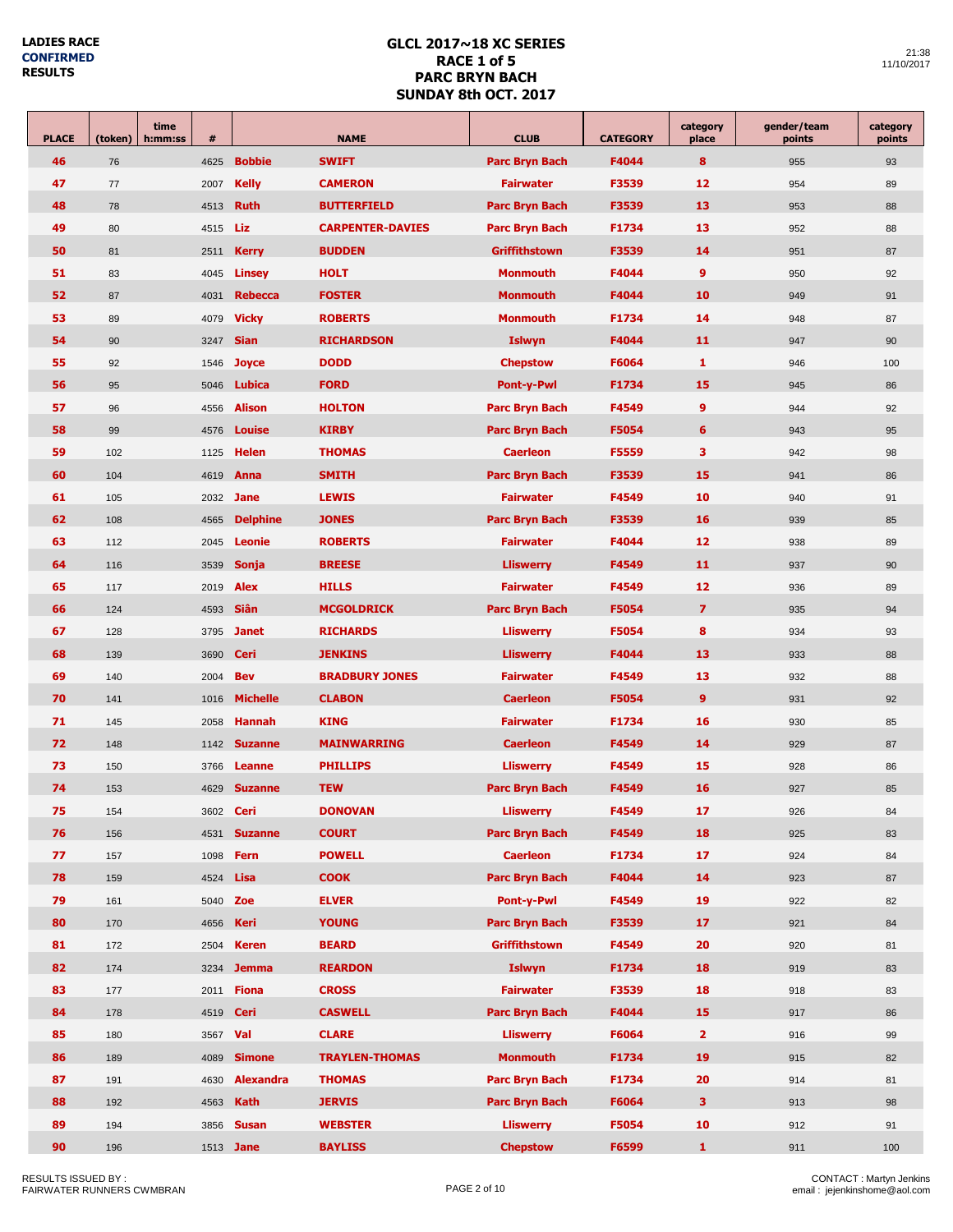| <b>PLACE</b> | (token) | time<br>h:mm:ss | $\#$     |                  | <b>NAME</b>             | <b>CLUB</b>                     | <b>CATEGORY</b> | category<br>place | gender/team<br>points | category<br>points |
|--------------|---------|-----------------|----------|------------------|-------------------------|---------------------------------|-----------------|-------------------|-----------------------|--------------------|
| 46           | 76      |                 | 4625     | <b>Bobbie</b>    | <b>SWIFT</b>            | <b>Parc Bryn Bach</b>           | F4044           | 8                 | 955                   | 93                 |
| 47           | 77      |                 | 2007     | <b>Kelly</b>     | <b>CAMERON</b>          | <b>Fairwater</b>                | F3539           | 12                | 954                   | 89                 |
| 48           | 78      |                 | 4513     | <b>Ruth</b>      | <b>BUTTERFIELD</b>      | <b>Parc Bryn Bach</b>           | F3539           | 13                | 953                   | 88                 |
| 49           | 80      |                 | 4515     | Liz              | <b>CARPENTER-DAVIES</b> | <b>Parc Bryn Bach</b>           | F1734           | 13                | 952                   | 88                 |
| 50           | 81      |                 | 2511     | <b>Kerry</b>     | <b>BUDDEN</b>           | <b>Griffithstown</b>            | F3539           | 14                | 951                   | 87                 |
| 51           | 83      |                 | 4045     | <b>Linsey</b>    | <b>HOLT</b>             | <b>Monmouth</b>                 | F4044           | 9                 | 950                   | 92                 |
| 52           | 87      |                 | 4031     | <b>Rebecca</b>   | <b>FOSTER</b>           | <b>Monmouth</b>                 | F4044           | 10                | 949                   | 91                 |
| 53           | 89      |                 | 4079     | <b>Vicky</b>     | <b>ROBERTS</b>          | <b>Monmouth</b>                 | F1734           | 14                | 948                   | 87                 |
| 54           | 90      |                 | 3247     | <b>Sian</b>      | <b>RICHARDSON</b>       | <b>Islwyn</b>                   | F4044           | 11                | 947                   | 90                 |
| 55           | 92      |                 | 1546     | <b>Joyce</b>     | <b>DODD</b>             | <b>Chepstow</b>                 | F6064           | 1                 | 946                   | 100                |
| 56           | 95      |                 | 5046     | <b>Lubica</b>    | <b>FORD</b>             | <b>Pont-y-Pwl</b>               | F1734           | 15                | 945                   | 86                 |
| 57           | 96      |                 | 4556     | <b>Alison</b>    | <b>HOLTON</b>           | <b>Parc Bryn Bach</b>           | F4549           | 9                 | 944                   | 92                 |
| 58           | 99      |                 | 4576     | Louise           | <b>KIRBY</b>            | <b>Parc Bryn Bach</b>           | <b>F5054</b>    | 6                 | 943                   | 95                 |
| 59           | 102     |                 | 1125     | <b>Helen</b>     | <b>THOMAS</b>           | <b>Caerleon</b>                 | F5559           | 3                 | 942                   | 98                 |
| 60           | 104     |                 | 4619     | Anna             | <b>SMITH</b>            | <b>Parc Bryn Bach</b>           | F3539           | 15                | 941                   | 86                 |
| 61           | 105     |                 | 2032     | <b>Jane</b>      | <b>LEWIS</b>            | <b>Fairwater</b>                | F4549           | 10                | 940                   | 91                 |
| 62           | 108     |                 | 4565     | <b>Delphine</b>  | <b>JONES</b>            | <b>Parc Bryn Bach</b>           | F3539           | 16                | 939                   | 85                 |
| 63           | 112     |                 | 2045     | <b>Leonie</b>    | <b>ROBERTS</b>          | <b>Fairwater</b>                | F4044           | 12                | 938                   | 89                 |
| 64           | 116     |                 | 3539     | <b>Sonja</b>     | <b>BREESE</b>           | F4549<br><b>Lliswerry</b>       |                 | 11                | 937                   | 90                 |
| 65           | 117     |                 | 2019     | <b>Alex</b>      | <b>HILLS</b>            | F4549<br><b>Fairwater</b>       |                 | 12                | 936                   | 89                 |
| 66           | 124     |                 | 4593     | <b>Siân</b>      | <b>MCGOLDRICK</b>       | <b>Parc Bryn Bach</b><br>F5054  |                 | $\overline{z}$    | 935                   | 94                 |
| 67           | 128     |                 | 3795     | <b>Janet</b>     | <b>RICHARDS</b>         | <b>Lliswerry</b>                | F5054           | 8                 | 934                   | 93                 |
| 68           | 139     |                 | 3690     | Ceri             | <b>JENKINS</b>          | <b>Lliswerry</b>                | F4044           | 13                | 933                   | 88                 |
| 69           | 140     |                 | 2004     | <b>Bev</b>       | <b>BRADBURY JONES</b>   | <b>Fairwater</b>                | F4549           | 13                | 932                   | 88                 |
| 70           | 141     |                 | 1016     | <b>Michelle</b>  | <b>CLABON</b>           | <b>Caerleon</b>                 | <b>F5054</b>    | 9                 | 931                   | 92                 |
| 71           | 145     |                 | 2058     | <b>Hannah</b>    | <b>KING</b>             | <b>Fairwater</b>                | F1734           | 16                | 930                   | 85                 |
| 72           | 148     |                 | 1142     | <b>Suzanne</b>   | <b>MAINWARRING</b>      | <b>Caerleon</b>                 | F4549           | 14                | 929                   | 87                 |
| 73           | 150     |                 | 3766     | Leanne           | <b>PHILLIPS</b>         | <b>Lliswerry</b>                | F4549           | 15                | 928                   | 86                 |
| 74           | 153     |                 | 4629     | <b>Suzanne</b>   | <b>TEW</b>              | <b>Parc Bryn Bach</b>           | F4549           | 16                | 927                   | 85                 |
| 75           | 154     |                 |          | 3602 Ceri        | <b>DONOVAN</b>          | <b>Lliswerry</b>                | F4549           | 17                | 926                   | 84                 |
| 76           | 156     |                 | 4531     | <b>Suzanne</b>   | <b>COURT</b>            | <b>Parc Bryn Bach</b>           | F4549           | 18                | 925                   | 83                 |
| 77           | 157     |                 |          | 1098 <b>Fern</b> | <b>POWELL</b>           | <b>Caerleon</b>                 | F1734           | 17                | 924                   | 84                 |
| 78           | 159     |                 | 4524     | Lisa             | <b>COOK</b>             | <b>Parc Bryn Bach</b>           | F4044           | 14                | 923                   | 87                 |
| 79           | 161     |                 |          | 5040 Zoe         | <b>ELVER</b>            | Pont-y-Pwl                      | F4549           | 19                | 922                   | 82                 |
| 80           | 170     |                 | 4656     | <b>Keri</b>      | <b>YOUNG</b>            | <b>Parc Bryn Bach</b>           | F3539           | 17                | 921                   | 84                 |
| 81           | 172     |                 | 2504     | <b>Keren</b>     | <b>BEARD</b>            | Griffithstown                   | F4549           | 20                | 920                   | 81                 |
| 82           | 174     |                 |          | 3234 Jemma       | <b>REARDON</b>          | <b>Islwyn</b>                   | F1734           | 18                | 919                   | 83                 |
| 83           | 177     |                 | 2011     | <b>Fiona</b>     | <b>CROSS</b>            | <b>Fairwater</b>                | F3539           | 18                | 918                   | 83                 |
| 84           | 178     |                 |          | 4519 <b>Ceri</b> | <b>CASWELL</b>          | <b>Parc Bryn Bach</b>           | F4044           | 15                | 917                   | 86                 |
| 85           | 180     |                 | 3567 Val |                  | <b>CLARE</b>            | <b>Lliswerry</b>                | F6064           | $\overline{2}$    | 916                   | 99                 |
| 86           | 189     |                 | 4089     | <b>Simone</b>    | <b>TRAYLEN-THOMAS</b>   | <b>Monmouth</b>                 | F1734           | 19                | 915                   | 82                 |
| 87           | 191     |                 |          | 4630 Alexandra   | <b>THOMAS</b>           | <b>Parc Bryn Bach</b>           | F1734           | 20                | 914                   | 81                 |
| 88           | 192     |                 | 4563     | <b>Kath</b>      | <b>JERVIS</b>           | <b>Parc Bryn Bach</b>           | F6064           | 3                 | 913                   | 98                 |
| 89           | 194     |                 | 3856     | <b>Susan</b>     | <b>WEBSTER</b>          | <b>Lliswerry</b><br>F5054<br>10 |                 |                   | 912                   | 91                 |
| 90           | 196     |                 |          | 1513 <b>Jane</b> | <b>BAYLISS</b>          | <b>Chepstow</b>                 | F6599           | $\mathbf{1}$      | 911                   | 100                |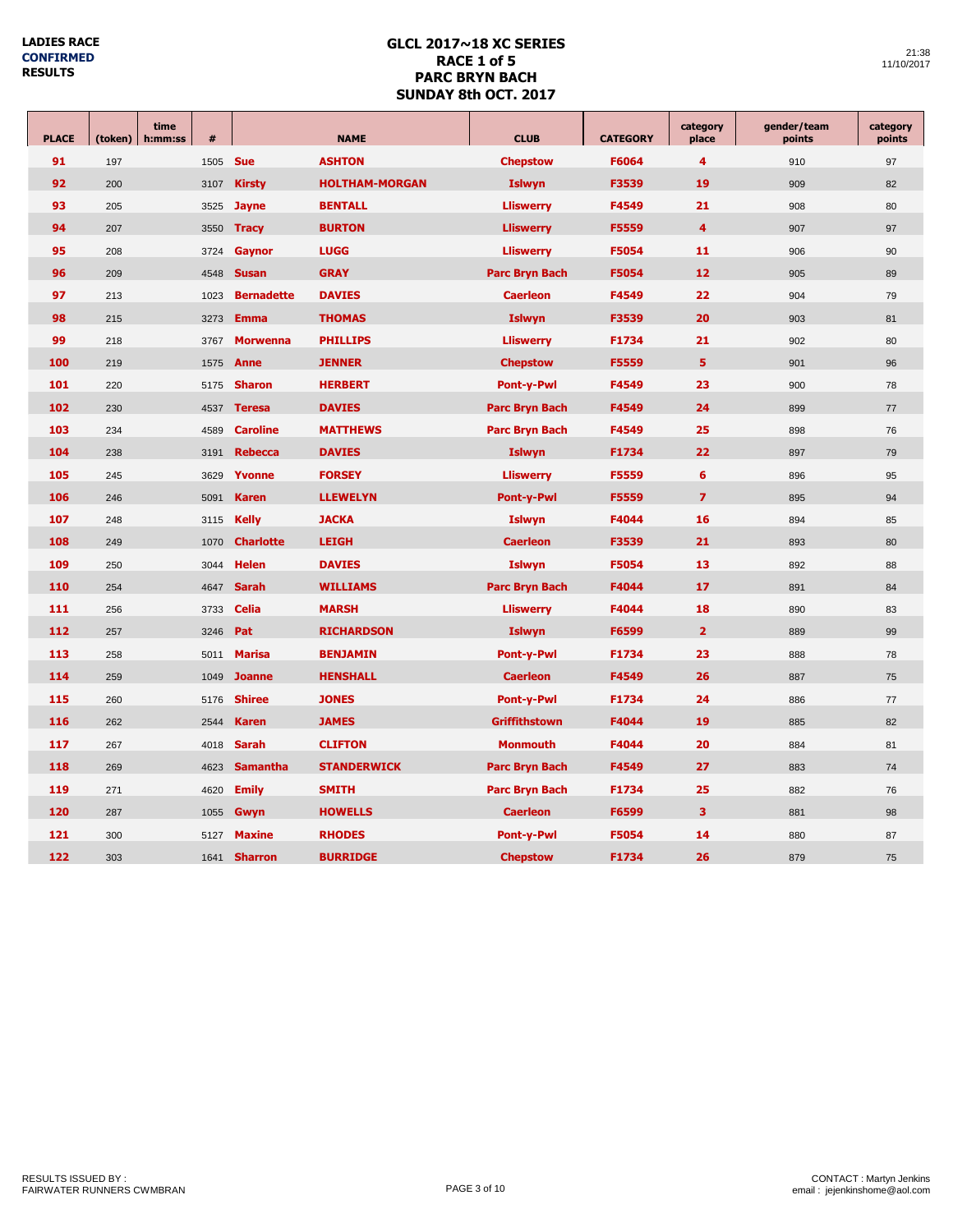| <b>PLACE</b> | (token) | time<br>h:mm:ss | #    | <b>NAME</b>       |                       | <b>CLUB</b>           | <b>CATEGORY</b> | category<br>place | gender/team<br>points | category<br>points |
|--------------|---------|-----------------|------|-------------------|-----------------------|-----------------------|-----------------|-------------------|-----------------------|--------------------|
| 91           | 197     |                 | 1505 | <b>Sue</b>        | <b>ASHTON</b>         | <b>Chepstow</b>       | F6064           | $\overline{4}$    | 910                   | 97                 |
| 92           | 200     |                 | 3107 | <b>Kirsty</b>     | <b>HOLTHAM-MORGAN</b> | <b>Islwyn</b>         | F3539           | 19                | 909                   | 82                 |
| 93           | 205     |                 | 3525 | <b>Jayne</b>      | <b>BENTALL</b>        | <b>Lliswerry</b>      | F4549           | 21                | 908                   | 80                 |
| 94           | 207     |                 | 3550 | <b>Tracy</b>      | <b>BURTON</b>         | <b>Lliswerry</b>      | F5559           | $\overline{4}$    | 907                   | 97                 |
| 95           | 208     |                 | 3724 | Gaynor            | <b>LUGG</b>           | <b>Lliswerry</b>      | F5054           | 11                | 906                   | 90                 |
| 96           | 209     |                 | 4548 | <b>Susan</b>      | <b>GRAY</b>           | <b>Parc Bryn Bach</b> | F5054           | 12                | 905                   | 89                 |
| 97           | 213     |                 | 1023 | <b>Bernadette</b> | <b>DAVIES</b>         | <b>Caerleon</b>       | F4549           | 22                | 904                   | 79                 |
| 98           | 215     |                 | 3273 | <b>Emma</b>       | <b>THOMAS</b>         | <b>Islwyn</b>         | F3539           | 20                | 903                   | 81                 |
| 99           | 218     |                 | 3767 | <b>Morwenna</b>   | <b>PHILLIPS</b>       | <b>Lliswerry</b>      | F1734           | 21                | 902                   | 80                 |
| 100          | 219     |                 | 1575 | Anne              | <b>JENNER</b>         | <b>Chepstow</b>       | F5559           | 5                 | 901                   | 96                 |
| 101          | 220     |                 | 5175 | <b>Sharon</b>     | <b>HERBERT</b>        | <b>Pont-y-Pwl</b>     | F4549           | 23                | 900                   | 78                 |
| 102          | 230     |                 | 4537 | <b>Teresa</b>     | <b>DAVIES</b>         | <b>Parc Bryn Bach</b> | F4549           | 24                | 899                   | 77                 |
| 103          | 234     |                 | 4589 | <b>Caroline</b>   | <b>MATTHEWS</b>       | <b>Parc Bryn Bach</b> | F4549           | 25                | 898                   | 76                 |
| 104          | 238     |                 | 3191 | <b>Rebecca</b>    | <b>DAVIES</b>         | <b>Islwyn</b>         | F1734           | 22                | 897                   | 79                 |
| 105          | 245     |                 | 3629 | Yvonne            | <b>FORSEY</b>         | <b>Lliswerry</b>      | F5559           | 6                 | 896                   | 95                 |
| 106          | 246     |                 | 5091 | <b>Karen</b>      | <b>LLEWELYN</b>       | <b>Pont-y-Pwl</b>     | F5559           | $\overline{z}$    | 895                   | 94                 |
| 107          | 248     |                 | 3115 | <b>Kelly</b>      | <b>JACKA</b>          | <b>Islwyn</b>         | F4044           | 16                | 894                   | 85                 |
| 108          | 249     |                 | 1070 | <b>Charlotte</b>  | <b>LEIGH</b>          | <b>Caerleon</b>       | F3539           | 21                | 893                   | 80                 |
| 109          | 250     |                 | 3044 | <b>Helen</b>      | <b>DAVIES</b>         | <b>Islwyn</b>         | <b>F5054</b>    | 13                | 892                   | 88                 |
| 110          | 254     |                 | 4647 | <b>Sarah</b>      | <b>WILLIAMS</b>       | <b>Parc Bryn Bach</b> | F4044           | 17                | 891                   | 84                 |
| 111          | 256     |                 | 3733 | <b>Celia</b>      | <b>MARSH</b>          | <b>Lliswerry</b>      | F4044           | 18                | 890                   | 83                 |
| 112          | 257     |                 | 3246 | Pat               | <b>RICHARDSON</b>     | <b>Islwyn</b>         | F6599           | $\overline{2}$    | 889                   | 99                 |
| 113          | 258     |                 | 5011 | <b>Marisa</b>     | <b>BENJAMIN</b>       | <b>Pont-y-Pwl</b>     | F1734           | 23                | 888                   | 78                 |
| 114          | 259     |                 | 1049 | <b>Joanne</b>     | <b>HENSHALL</b>       | <b>Caerleon</b>       | F4549           | 26                | 887                   | 75                 |
| 115          | 260     |                 | 5176 | <b>Shiree</b>     | <b>JONES</b>          | <b>Pont-y-Pwl</b>     | F1734           | 24                | 886                   | 77                 |
| 116          | 262     |                 | 2544 | <b>Karen</b>      | <b>JAMES</b>          | <b>Griffithstown</b>  | F4044           | 19                | 885                   | 82                 |
| 117          | 267     |                 | 4018 | <b>Sarah</b>      | <b>CLIFTON</b>        | <b>Monmouth</b>       | F4044           | 20                | 884                   | 81                 |
| 118          | 269     |                 | 4623 | <b>Samantha</b>   | <b>STANDERWICK</b>    | <b>Parc Bryn Bach</b> | F4549           | 27                | 883                   | 74                 |
| 119          | 271     |                 | 4620 | <b>Emily</b>      | <b>SMITH</b>          | <b>Parc Bryn Bach</b> | F1734           | 25                | 882                   | 76                 |
| 120          | 287     |                 | 1055 | Gwyn              | <b>HOWELLS</b>        | <b>Caerleon</b>       | F6599           | 3                 | 881                   | 98                 |
| 121          | 300     |                 | 5127 | <b>Maxine</b>     | <b>RHODES</b>         | <b>Pont-y-Pwl</b>     | F5054           | 14                | 880                   | 87                 |
| 122          | 303     |                 | 1641 | <b>Sharron</b>    | <b>BURRIDGE</b>       | <b>Chepstow</b>       | F1734           | 26                | 879                   | 75                 |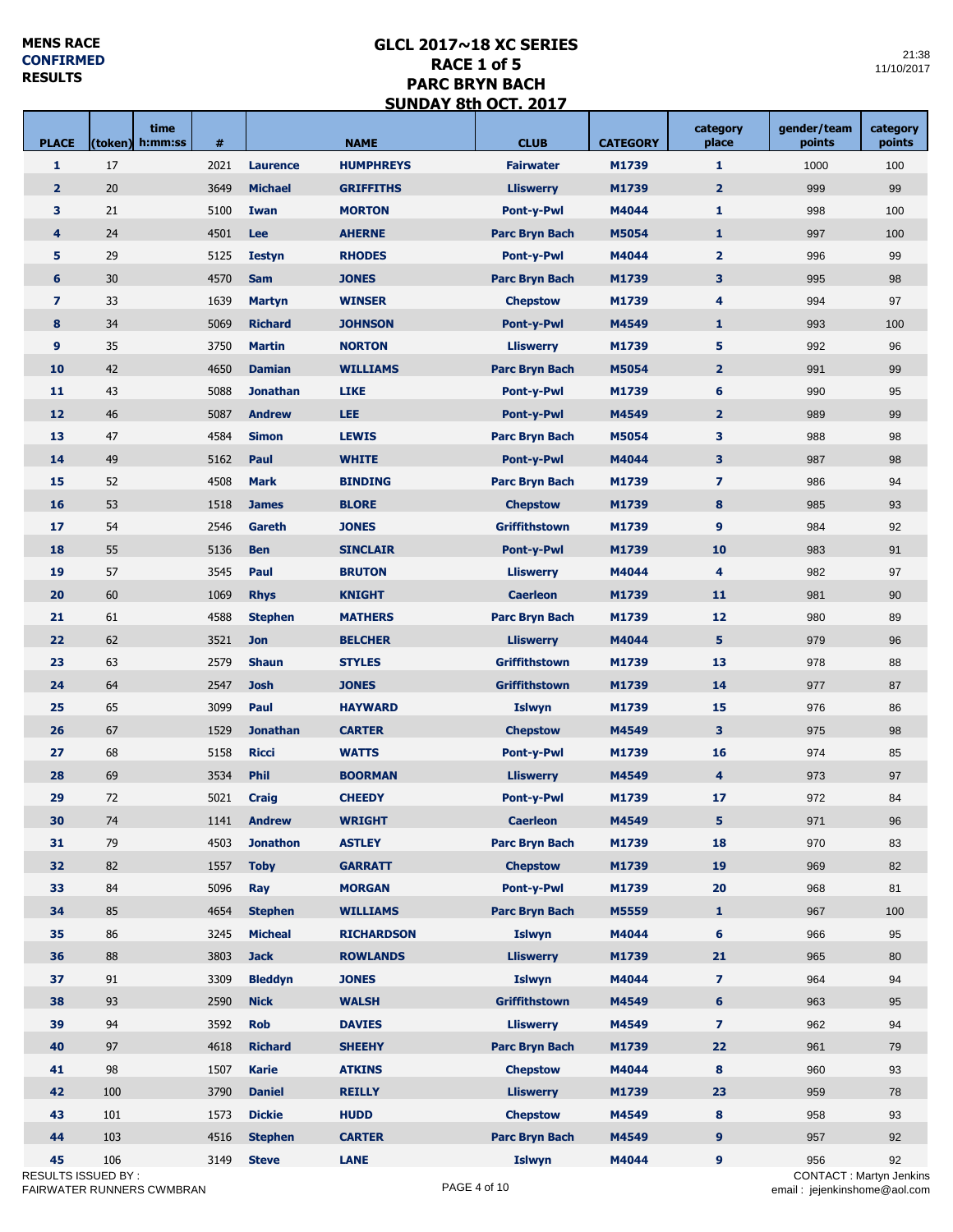an Salaman

a T

Г

| <b>PLACE</b>              | time<br>(token) h:mm:ss   | #            |                             | <b>NAME</b>                      | <b>CLUB</b>                          | <b>CATEGORY</b> | category<br>place             | gender/team<br>points                | category<br>points |
|---------------------------|---------------------------|--------------|-----------------------------|----------------------------------|--------------------------------------|-----------------|-------------------------------|--------------------------------------|--------------------|
| $\mathbf{1}$              | 17                        | 2021         | <b>Laurence</b>             | <b>HUMPHREYS</b>                 | <b>Fairwater</b>                     | M1739           | 1                             | 1000                                 | 100                |
| $\overline{2}$            | 20                        | 3649         | <b>Michael</b>              | <b>GRIFFITHS</b>                 | <b>Lliswerry</b>                     | M1739           | $\overline{2}$                | 999                                  | 99                 |
| 3                         | 21                        | 5100         | Iwan                        | <b>MORTON</b>                    | Pont-y-Pwl                           | M4044           | $\mathbf{1}$                  | 998                                  | 100                |
| $\overline{\mathbf{4}}$   | 24                        | 4501         | Lee                         | <b>AHERNE</b>                    | <b>Parc Bryn Bach</b>                | M5054           | $\mathbf{1}$                  | 997                                  | 100                |
| 5                         | 29                        | 5125         | <b>Iestyn</b>               | <b>RHODES</b>                    | <b>Pont-y-Pwl</b>                    | M4044           | $\overline{2}$                | 996                                  | 99                 |
| 6                         | 30                        | 4570         | <b>Sam</b>                  | <b>JONES</b>                     | <b>Parc Bryn Bach</b>                | M1739           | 3                             | 995                                  | 98                 |
| $\overline{z}$            | 33                        | 1639         | <b>Martyn</b>               | <b>WINSER</b>                    | <b>Chepstow</b>                      | M1739           | 4                             | 994                                  | 97                 |
| 8                         | 34                        | 5069         | <b>Richard</b>              | <b>JOHNSON</b>                   | <b>Pont-y-Pwl</b>                    | M4549           | $\mathbf{1}$                  | 993                                  | 100                |
| 9                         | 35                        | 3750         | <b>Martin</b>               | <b>NORTON</b>                    | <b>Lliswerry</b>                     | M1739           | 5                             | 992                                  | 96                 |
| 10                        | 42                        | 4650         | <b>Damian</b>               | <b>WILLIAMS</b>                  | <b>Parc Bryn Bach</b>                | M5054           | $\overline{2}$                | 991                                  | 99                 |
| 11                        | 43                        | 5088         | <b>Jonathan</b>             | <b>LIKE</b>                      | <b>Pont-y-Pwl</b>                    | M1739           | 6                             | 990                                  | 95                 |
| 12                        | 46                        | 5087         | <b>Andrew</b>               | <b>LEE</b>                       | <b>Pont-y-Pwl</b>                    | M4549           | $\overline{2}$                | 989                                  | 99                 |
| 13                        | 47                        | 4584         | <b>Simon</b>                | <b>LEWIS</b>                     | <b>Parc Bryn Bach</b>                | M5054           | 3                             | 988                                  | 98                 |
| 14                        | 49                        | 5162         | Paul                        | <b>WHITE</b>                     | <b>Pont-y-Pwl</b>                    | M4044           | 3                             | 987                                  | 98                 |
| 15                        | 52                        | 4508         | <b>Mark</b>                 | <b>BINDING</b>                   | <b>Parc Bryn Bach</b>                | M1739           | $\overline{z}$                | 986                                  | 94                 |
| 16                        | 53                        | 1518         | <b>James</b>                | <b>BLORE</b>                     | <b>Chepstow</b>                      | M1739           | 8                             | 985                                  | 93                 |
| 17                        | 54                        | 2546         | Gareth                      | <b>JONES</b>                     | <b>Griffithstown</b>                 | M1739           | 9                             | 984                                  | 92                 |
| 18                        | 55                        | 5136         | <b>Ben</b>                  | <b>SINCLAIR</b>                  | <b>Pont-y-Pwl</b>                    | M1739           | 10                            | 983                                  | 91                 |
| 19                        | 57                        | 3545         | Paul                        | <b>BRUTON</b>                    | <b>Lliswerry</b>                     | M4044           | 4                             | 982                                  | 97                 |
| 20                        | 60                        | 1069         | <b>Rhys</b>                 | <b>KNIGHT</b>                    | <b>Caerleon</b>                      | M1739           | 11                            | 981                                  | 90                 |
| 21                        | 61                        | 4588         | <b>Stephen</b>              | <b>MATHERS</b>                   | <b>Parc Bryn Bach</b>                | M1739           | 12                            | 980                                  | 89                 |
| 22                        | 62                        | 3521         | <b>Jon</b>                  | <b>BELCHER</b>                   | <b>Lliswerry</b>                     | M4044           | 5                             | 979                                  | 96                 |
| 23                        | 63                        | 2579         | <b>Shaun</b>                | <b>STYLES</b>                    | <b>Griffithstown</b>                 | M1739           | 13                            | 978                                  | 88                 |
| 24                        | 64                        |              | <b>Josh</b>                 | <b>JONES</b>                     |                                      |                 | 14                            | 977                                  |                    |
| 25                        | 65                        | 2547<br>3099 |                             | <b>HAYWARD</b>                   | Griffithstown                        | M1739           | 15                            |                                      | 87                 |
| 26                        | 67                        |              | Paul<br><b>Jonathan</b>     | <b>CARTER</b>                    | <b>Islwyn</b>                        | M1739<br>M4549  |                               | 976<br>975                           | 86                 |
| 27                        | 68                        | 1529         |                             | <b>WATTS</b>                     | <b>Chepstow</b>                      |                 | 3                             |                                      | 98                 |
| 28                        | 69                        | 5158<br>3534 | <b>Ricci</b><br><b>Phil</b> |                                  | <b>Pont-y-Pwl</b>                    | M1739           | 16                            | 974                                  | 85                 |
|                           |                           |              |                             | <b>BOORMAN</b>                   | <b>Lliswerry</b>                     | M4549           | $\overline{\mathbf{4}}$       | 973                                  | 97                 |
| 29<br>30                  | 72<br>74                  | 5021         | <b>Craig</b>                | <b>CHEEDY</b>                    | <b>Pont-y-Pwl</b>                    | M1739           | 17<br>5                       | 972                                  | 84                 |
| 31                        | 79                        | 1141<br>4503 | <b>Andrew</b>               | <b>WRIGHT</b>                    | <b>Caerleon</b>                      | M4549           | 18                            | 971                                  | 96                 |
| 32                        | 82                        |              | <b>Jonathon</b>             | <b>ASTLEY</b><br><b>GARRATT</b>  | <b>Parc Bryn Bach</b>                | M1739<br>M1739  | 19                            | 970<br>969                           | 83<br>82           |
| 33                        | 84                        | 1557         | <b>Toby</b>                 |                                  | <b>Chepstow</b><br><b>Pont-y-Pwl</b> |                 |                               |                                      | 81                 |
| 34                        | 85                        | 5096<br>4654 | Ray                         | <b>MORGAN</b><br><b>WILLIAMS</b> | <b>Parc Bryn Bach</b>                | M1739<br>M5559  | 20<br>$\mathbf{1}$            | 968                                  |                    |
| 35                        | 86                        |              | <b>Stephen</b>              | <b>RICHARDSON</b>                |                                      |                 |                               | 967                                  | 100                |
|                           |                           | 3245         | <b>Micheal</b>              |                                  | <b>Islwyn</b>                        | M4044           | 6                             | 966                                  | 95                 |
| 36<br>37                  | 88<br>91                  | 3803<br>3309 | <b>Jack</b>                 | <b>ROWLANDS</b><br><b>JONES</b>  | <b>Lliswerry</b>                     | M1739<br>M4044  | 21<br>$\overline{\mathbf{z}}$ | 965                                  | 80                 |
|                           |                           |              | <b>Bleddyn</b>              |                                  | <b>Islwyn</b>                        |                 |                               | 964                                  | 94                 |
| 38                        | 93                        | 2590         | <b>Nick</b>                 | <b>WALSH</b>                     | <b>Griffithstown</b>                 | M4549           | 6                             | 963                                  | 95                 |
| 39                        | 94                        | 3592         | <b>Rob</b>                  | <b>DAVIES</b>                    | <b>Lliswerry</b>                     | M4549           | $\overline{7}$                | 962                                  | 94                 |
| 40                        | 97                        | 4618         | <b>Richard</b>              | <b>SHEEHY</b>                    | <b>Parc Bryn Bach</b>                | M1739           | 22                            | 961                                  | 79                 |
| 41                        | 98                        | 1507         | <b>Karie</b>                | <b>ATKINS</b>                    | <b>Chepstow</b>                      | M4044           | 8                             | 960                                  | 93                 |
| 42                        | 100                       | 3790         | <b>Daniel</b>               | <b>REILLY</b>                    | <b>Lliswerry</b>                     | M1739           | 23                            | 959                                  | 78                 |
| 43                        | 101                       | 1573         | <b>Dickie</b>               | <b>HUDD</b>                      | <b>Chepstow</b>                      | M4549           | 8                             | 958                                  | 93                 |
| 44                        | 103                       | 4516         | <b>Stephen</b>              | <b>CARTER</b>                    | <b>Parc Bryn Bach</b>                | M4549           | $\mathbf{9}$                  | 957                                  | 92                 |
| 45<br>RESULTS ISSUED BY : | 106                       | 3149         | <b>Steve</b>                | <b>LANE</b>                      | <b>Islwyn</b>                        | M4044           | 9                             | 956<br><b>CONTACT: Martyn Jenkin</b> | 92                 |
|                           | FAIRWATER RUNNERS CWMBRAN |              |                             |                                  | PAGE 4 of 10                         |                 |                               | email: jejenkinshome@aol.cor         |                    |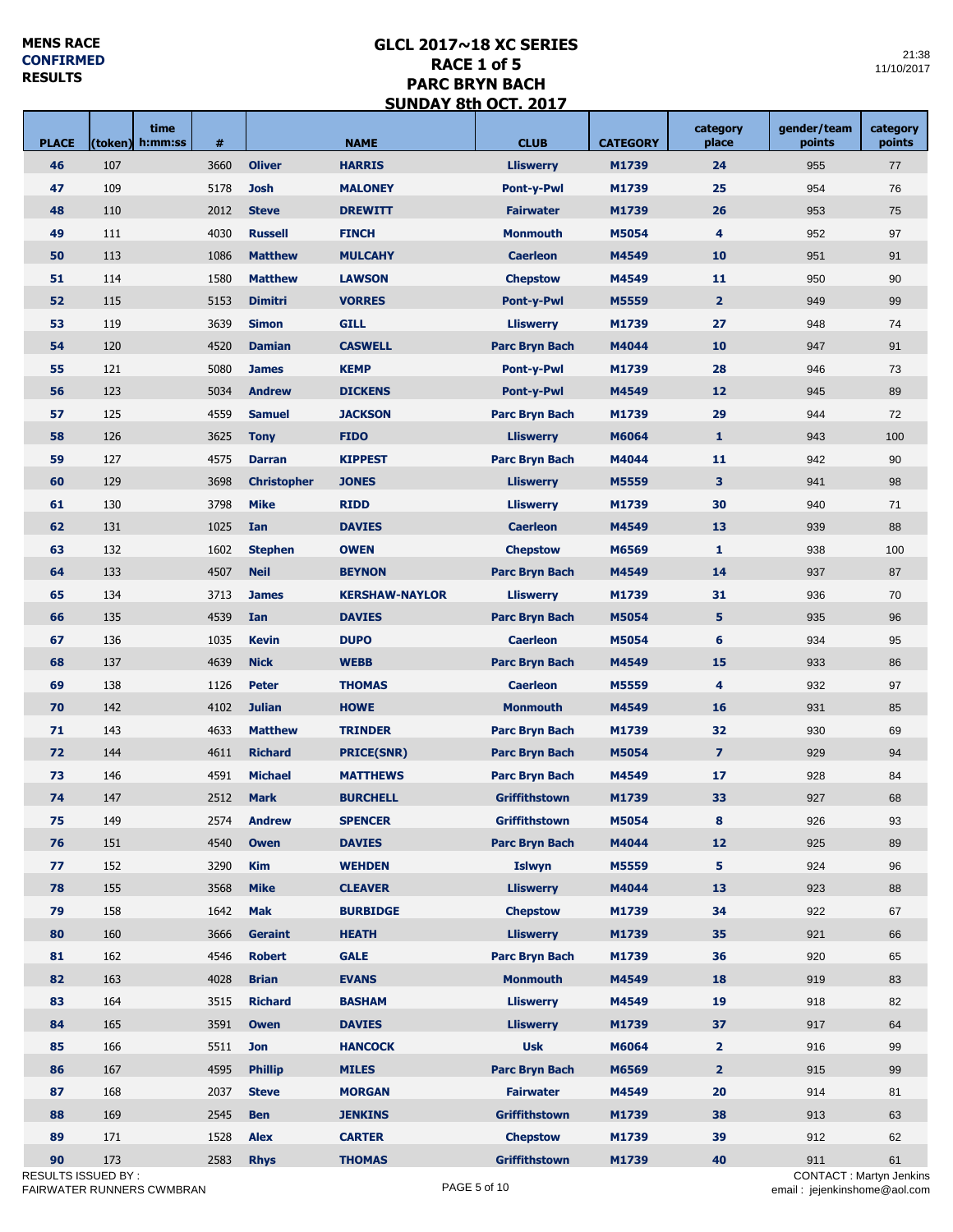| <b>PLACE</b> | time<br>(token) h:mm:ss    | #    |                    | <b>NAME</b>           | <b>CLUB</b>                         | <b>CATEGORY</b> | category<br>place | gender/team<br>points                | category<br>points |
|--------------|----------------------------|------|--------------------|-----------------------|-------------------------------------|-----------------|-------------------|--------------------------------------|--------------------|
| 46           | 107                        | 3660 | <b>Oliver</b>      | <b>HARRIS</b>         | <b>Lliswerry</b>                    | M1739           | 24                | 955                                  | 77                 |
| 47           | 109                        | 5178 | <b>Josh</b>        | <b>MALONEY</b>        | <b>Pont-y-Pwl</b>                   | M1739           | 25                | 954                                  | 76                 |
| 48           | 110                        | 2012 | <b>Steve</b>       | <b>DREWITT</b>        | <b>Fairwater</b>                    | M1739           | 26                | 953                                  | 75                 |
| 49           | 111                        | 4030 | <b>Russell</b>     | <b>FINCH</b>          | <b>Monmouth</b>                     | M5054           | 4                 | 952                                  | 97                 |
| 50           | 113                        | 1086 | <b>Matthew</b>     | <b>MULCAHY</b>        | <b>Caerleon</b>                     | M4549           | 10                | 951                                  | 91                 |
| 51           | 114                        | 1580 | <b>Matthew</b>     | <b>LAWSON</b>         | <b>Chepstow</b>                     | M4549           | 11                | 950                                  | 90                 |
| 52           | 115                        | 5153 | <b>Dimitri</b>     | <b>VORRES</b>         | <b>Pont-y-Pwl</b>                   | M5559           | $\overline{2}$    | 949                                  | 99                 |
| 53           | 119                        | 3639 | <b>Simon</b>       | <b>GILL</b>           | <b>Lliswerry</b>                    | M1739           | 27                | 948                                  | 74                 |
| 54           | 120                        | 4520 | <b>Damian</b>      | <b>CASWELL</b>        | <b>Parc Bryn Bach</b>               | M4044           | 10                | 947                                  | 91                 |
| 55           | 121                        | 5080 | <b>James</b>       | <b>KEMP</b>           | <b>Pont-y-Pwl</b>                   | M1739           | 28                | 946                                  | 73                 |
| 56           | 123                        | 5034 | <b>Andrew</b>      | <b>DICKENS</b>        | <b>Pont-y-Pwl</b>                   | M4549           | 12                | 945                                  | 89                 |
| 57           | 125                        | 4559 | <b>Samuel</b>      | <b>JACKSON</b>        | <b>Parc Bryn Bach</b>               | M1739           | 29                | 944                                  | 72                 |
| 58           | 126                        | 3625 | <b>Tony</b>        | <b>FIDO</b>           | <b>Lliswerry</b>                    | M6064           | $\mathbf{1}$      | 943                                  | 100                |
| 59           | 127                        | 4575 | <b>Darran</b>      | <b>KIPPEST</b>        | <b>Parc Bryn Bach</b>               | M4044           | 11                | 942                                  | 90                 |
| 60           | 129                        | 3698 | <b>Christopher</b> | <b>JONES</b>          | <b>Lliswerry</b>                    | M5559           | 3                 | 941                                  | 98                 |
| 61           | 130                        | 3798 | <b>Mike</b>        | <b>RIDD</b>           | <b>Lliswerry</b>                    | M1739           | 30                | 940                                  | 71                 |
| 62           | 131                        | 1025 | Ian                | <b>DAVIES</b>         | <b>Caerleon</b>                     | M4549           | 13                | 939                                  | 88                 |
| 63           | 132                        | 1602 | <b>Stephen</b>     | <b>OWEN</b>           | <b>Chepstow</b>                     | M6569           | $\mathbf{1}$      | 938                                  | 100                |
| 64           | 133                        | 4507 | <b>Neil</b>        | <b>BEYNON</b>         | <b>Parc Bryn Bach</b>               | M4549           | 14                | 937                                  | 87                 |
| 65           | 134                        | 3713 | <b>James</b>       | <b>KERSHAW-NAYLOR</b> | <b>Lliswerry</b>                    | M1739           | 31                | 936                                  | 70                 |
| 66           | 135                        | 4539 | Ian                | <b>DAVIES</b>         | <b>Parc Bryn Bach</b>               | M5054           | 5                 | 935                                  | 96                 |
| 67           | 136                        | 1035 | <b>Kevin</b>       | <b>DUPO</b>           | <b>Caerleon</b><br>M5054            |                 | 6                 | 934                                  | 95                 |
| 68           | 137                        | 4639 | <b>Nick</b>        | <b>WEBB</b>           | <b>Parc Bryn Bach</b>               | M4549           | 15                | 933                                  | 86                 |
| 69           | 138                        | 1126 | <b>Peter</b>       | <b>THOMAS</b>         | <b>Caerleon</b>                     | M5559           | 4                 | 932                                  | 97                 |
| 70           | 142                        | 4102 | <b>Julian</b>      | <b>HOWE</b>           | <b>Monmouth</b>                     | M4549           | 16                | 931                                  | 85                 |
| 71           | 143                        | 4633 | <b>Matthew</b>     | <b>TRINDER</b>        | <b>Parc Bryn Bach</b>               | M1739           | 32                | 930                                  | 69                 |
| 72           | 144                        | 4611 | <b>Richard</b>     | <b>PRICE(SNR)</b>     | <b>Parc Bryn Bach</b>               | M5054           | $\overline{7}$    | 929                                  | 94                 |
| 73           | 146                        | 4591 | <b>Michael</b>     | <b>MATTHEWS</b>       | <b>Parc Bryn Bach</b>               | M4549           | 17                | 928                                  | 84                 |
| 74           | 147                        | 2512 | <b>Mark</b>        | <b>BURCHELL</b>       | <b>Griffithstown</b>                | M1739           | 33                | 927                                  | 68                 |
| 75           | 149                        | 2574 | <b>Andrew</b>      | <b>SPENCER</b>        | Griffithstown                       | M5054           | 8                 | 926                                  | 93                 |
| 76           | 151                        | 4540 | <b>Owen</b>        | <b>DAVIES</b>         | <b>Parc Bryn Bach</b>               | M4044           | 12                | 925                                  | 89                 |
| 77           | 152                        | 3290 | <b>Kim</b>         | <b>WEHDEN</b>         | <b>Islwyn</b>                       | M5559           |                   | 924                                  | 96                 |
| 78           | 155                        | 3568 | <b>Mike</b>        | <b>CLEAVER</b>        | <b>Lliswerry</b>                    | M4044           | 5<br>13           | 923                                  | 88                 |
|              | 158                        |      | <b>Mak</b>         | <b>BURBIDGE</b>       |                                     |                 |                   |                                      |                    |
| 79           |                            | 1642 |                    |                       | <b>Chepstow</b>                     | M1739           | 34                | 922                                  | 67                 |
| 80           | 160                        | 3666 | <b>Geraint</b>     | <b>HEATH</b>          | <b>Lliswerry</b>                    | M1739           | 35                | 921                                  | 66                 |
| 81           | 162                        | 4546 | <b>Robert</b>      | <b>GALE</b>           | <b>Parc Bryn Bach</b>               | M1739           | 36                | 920                                  | 65                 |
| 82           | 163                        | 4028 | <b>Brian</b>       | <b>EVANS</b>          | <b>Monmouth</b>                     | M4549           | 18                | 919                                  | 83                 |
| 83           | 164                        | 3515 | <b>Richard</b>     | <b>BASHAM</b>         | <b>Lliswerry</b>                    | M4549           | 19                | 918                                  | 82                 |
| 84           | 165                        | 3591 | <b>Owen</b>        | <b>DAVIES</b>         | <b>Lliswerry</b>                    | M1739           | 37                | 917                                  | 64                 |
| 85           | 166                        | 5511 | <b>Jon</b>         | <b>HANCOCK</b>        | <b>Usk</b>                          | M6064           | $\overline{2}$    | 916                                  | 99                 |
| 86           | 167                        | 4595 | <b>Phillip</b>     | <b>MILES</b>          | <b>Parc Bryn Bach</b><br>M6569      |                 | $\overline{2}$    | 915                                  | 99                 |
| 87           | 168                        | 2037 | <b>Steve</b>       | <b>MORGAN</b>         | <b>Fairwater</b>                    | M4549           | 20                | 914                                  | 81                 |
| 88           | 169                        | 2545 | <b>Ben</b>         | <b>JENKINS</b>        | 38<br><b>Griffithstown</b><br>M1739 |                 |                   | 913                                  | 63                 |
| 89           | 171                        | 1528 | <b>Alex</b>        | <b>CARTER</b>         | <b>Chepstow</b>                     | M1739           | 39                | 912                                  | 62                 |
| 90           | 173<br>RESULTS ISSUED BY : | 2583 | <b>Rhys</b>        | <b>THOMAS</b>         | Griffithstown                       | M1739           | 40                | 911<br><b>CONTACT: Martyn Jenkin</b> | 61                 |
|              | FAIRWATER RUNNERS CWMBRAN  |      |                    |                       | PAGE 5 of 10                        |                 |                   | email: jejenkinshome@aol.cor         |                    |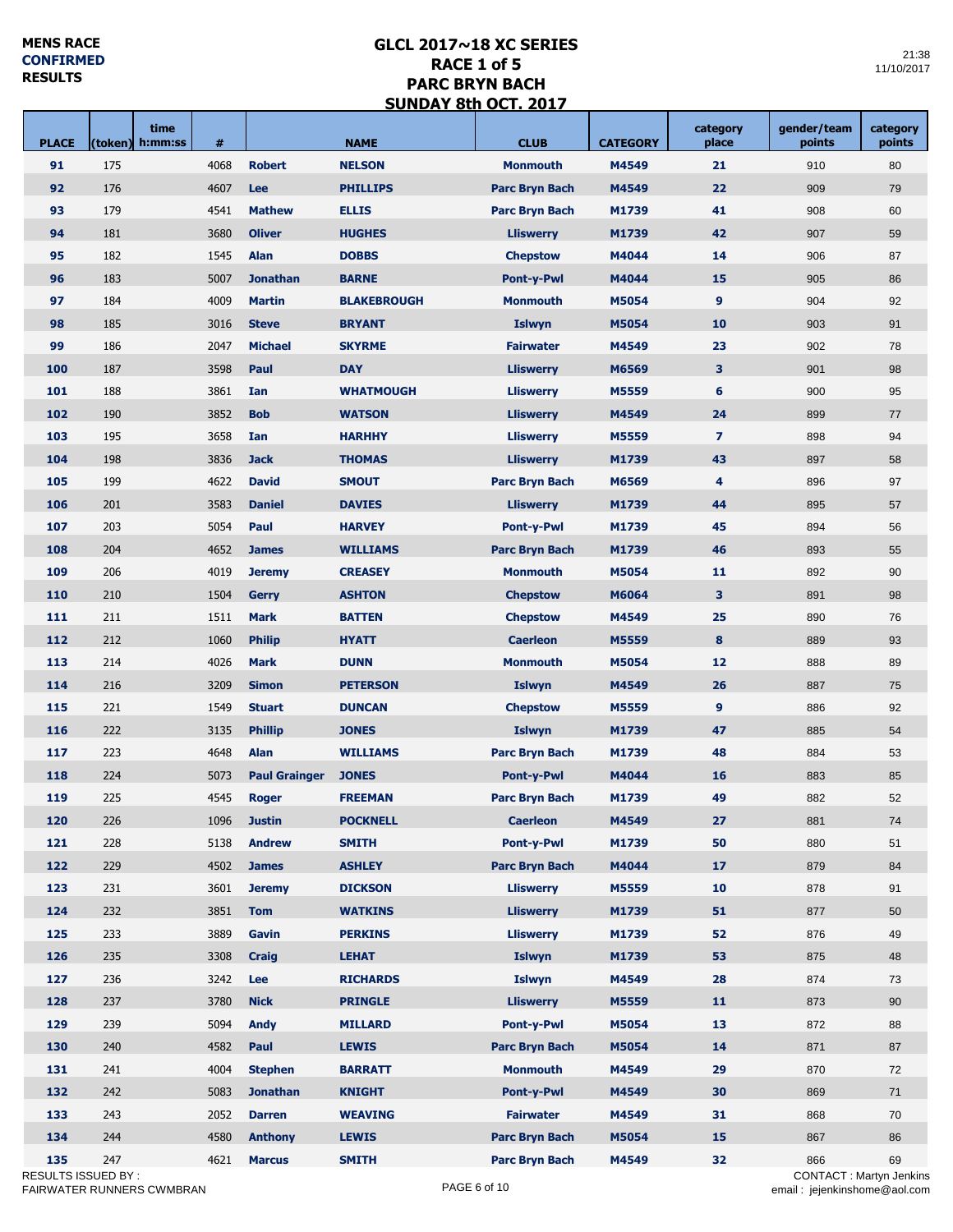a sa Tanzania.<br>Matukio

an Tar

П

| <b>PLACE</b>        | time<br>(token)<br>h:mm:ss | #    |                      | <b>NAME</b>        | <b>CLUB</b><br><b>CATEGORY</b> |       | category<br>place       | gender/team<br>points         | category<br>points |
|---------------------|----------------------------|------|----------------------|--------------------|--------------------------------|-------|-------------------------|-------------------------------|--------------------|
| 91                  | 175                        | 4068 | <b>Robert</b>        | <b>NELSON</b>      | <b>Monmouth</b>                | M4549 | 21                      | 910                           | 80                 |
| 92                  | 176                        | 4607 | Lee                  | <b>PHILLIPS</b>    | <b>Parc Bryn Bach</b>          | M4549 | 22                      | 909                           | 79                 |
| 93                  | 179                        | 4541 | <b>Mathew</b>        | <b>ELLIS</b>       | <b>Parc Bryn Bach</b>          | M1739 | 41                      | 908                           | 60                 |
| 94                  | 181                        | 3680 | <b>Oliver</b>        | <b>HUGHES</b>      | <b>Lliswerry</b>               | M1739 | 42                      | 907                           | 59                 |
| 95                  | 182                        | 1545 | Alan                 | <b>DOBBS</b>       | <b>Chepstow</b>                | M4044 | 14                      | 906                           | 87                 |
| 96                  | 183                        | 5007 | <b>Jonathan</b>      | <b>BARNE</b>       | <b>Pont-y-Pwl</b>              | M4044 | 15                      | 905                           | 86                 |
| 97                  | 184                        | 4009 | <b>Martin</b>        | <b>BLAKEBROUGH</b> | <b>Monmouth</b>                | M5054 | 9                       | 904                           | 92                 |
| 98                  | 185                        | 3016 | <b>Steve</b>         | <b>BRYANT</b>      | <b>Islwyn</b>                  | M5054 | 10                      | 903                           | 91                 |
| 99                  | 186                        | 2047 | <b>Michael</b>       | <b>SKYRME</b>      | <b>Fairwater</b>               | M4549 | 23                      | 902                           | 78                 |
| 100                 | 187                        | 3598 | Paul                 | <b>DAY</b>         | <b>Lliswerry</b>               | M6569 | 3                       | 901                           | 98                 |
| 101                 | 188                        | 3861 | Ian                  | <b>WHATMOUGH</b>   | <b>Lliswerry</b>               | M5559 | 6                       | 900                           | 95                 |
| 102                 | 190                        | 3852 | <b>Bob</b>           | <b>WATSON</b>      | <b>Lliswerry</b>               | M4549 | 24                      | 899                           | 77                 |
| 103                 | 195                        | 3658 | Ian                  | <b>HARHHY</b>      | <b>Lliswerry</b>               | M5559 | $\overline{\mathbf{z}}$ | 898                           | 94                 |
| 104                 | 198                        | 3836 | <b>Jack</b>          | <b>THOMAS</b>      | <b>Lliswerry</b>               | M1739 | 43                      | 897                           | 58                 |
| 105                 | 199                        | 4622 | <b>David</b>         | <b>SMOUT</b>       | <b>Parc Bryn Bach</b>          | M6569 | 4                       | 896                           | 97                 |
| 106                 | 201                        | 3583 | <b>Daniel</b>        | <b>DAVIES</b>      | <b>Lliswerry</b>               | M1739 | 44                      | 895                           | 57                 |
| 107                 | 203                        | 5054 | Paul                 | <b>HARVEY</b>      | <b>Pont-y-Pwl</b>              | M1739 | 45                      | 894                           | 56                 |
| 108                 | 204                        | 4652 | <b>James</b>         | <b>WILLIAMS</b>    | <b>Parc Bryn Bach</b>          | M1739 | 46                      | 893                           | 55                 |
| 109                 | 206                        | 4019 | <b>Jeremy</b>        | <b>CREASEY</b>     | <b>Monmouth</b>                | M5054 | 11                      | 892                           | 90                 |
| 110                 | 210                        | 1504 | <b>Gerry</b>         | <b>ASHTON</b>      | <b>Chepstow</b>                | M6064 | 3                       | 891                           | 98                 |
| 111                 | 211                        | 1511 | <b>Mark</b>          | <b>BATTEN</b>      | <b>Chepstow</b>                | M4549 | 25                      | 890                           | 76                 |
| 112                 | 212                        | 1060 | <b>Philip</b>        | <b>HYATT</b>       | <b>Caerleon</b>                | M5559 | 8                       | 889                           | 93                 |
| 113                 | 214                        | 4026 | <b>Mark</b>          | <b>DUNN</b>        | <b>Monmouth</b>                | M5054 | 12                      | 888                           | 89                 |
| 114                 | 216                        | 3209 | <b>Simon</b>         | <b>PETERSON</b>    | <b>Islwyn</b>                  | M4549 | 26                      | 887                           | 75                 |
| 115                 | 221                        | 1549 | <b>Stuart</b>        | <b>DUNCAN</b>      | <b>Chepstow</b>                | M5559 | 9                       | 886                           | 92                 |
| 116                 | 222                        | 3135 | <b>Phillip</b>       | <b>JONES</b>       | <b>Islwyn</b>                  | M1739 | 47                      | 885                           | 54                 |
| 117                 | 223                        | 4648 | Alan                 | <b>WILLIAMS</b>    | <b>Parc Bryn Bach</b>          | M1739 | 48                      | 884                           | 53                 |
| 118                 | 224                        | 5073 | <b>Paul Grainger</b> | <b>JONES</b>       | <b>Pont-y-Pwl</b>              | M4044 | 16                      | 883                           | 85                 |
| 119                 | 225                        | 4545 | <b>Roger</b>         | <b>FREEMAN</b>     | <b>Parc Bryn Bach</b>          | M1739 | 49                      | 882                           | 52                 |
| 120                 | 226                        |      | 1096 <b>Justin</b>   | <b>POCKNELL</b>    | <b>Caerleon</b>                | M4549 | 27                      | 881                           | ${\bf 74}$         |
| 121                 | 228                        | 5138 | <b>Andrew</b>        | <b>SMITH</b>       | <b>Pont-y-Pwl</b>              | M1739 | 50                      | 880                           | 51                 |
| 122                 | 229                        | 4502 | <b>James</b>         | <b>ASHLEY</b>      | <b>Parc Bryn Bach</b>          | M4044 | 17                      | 879                           | 84                 |
| 123                 | 231                        | 3601 | <b>Jeremy</b>        | <b>DICKSON</b>     | <b>Lliswerry</b>               | M5559 | 10                      | 878                           | 91                 |
| 124                 | 232                        | 3851 | <b>Tom</b>           | <b>WATKINS</b>     | <b>Lliswerry</b>               | M1739 | 51                      | 877                           | 50                 |
| 125                 | 233                        | 3889 | Gavin                | <b>PERKINS</b>     | <b>Lliswerry</b>               | M1739 | 52                      | 876                           | 49                 |
| 126                 | 235                        | 3308 | <b>Craig</b>         | <b>LEHAT</b>       | <b>Islwyn</b>                  | M1739 | 53                      | 875                           | 48                 |
| 127                 | 236                        | 3242 | Lee                  | <b>RICHARDS</b>    | <b>Islwyn</b>                  | M4549 | 28                      | 874                           | 73                 |
| 128                 | 237                        | 3780 | <b>Nick</b>          | <b>PRINGLE</b>     | <b>Lliswerry</b>               | M5559 | 11                      | 873                           | 90                 |
| 129                 | 239                        | 5094 | <b>Andy</b>          | <b>MILLARD</b>     | <b>Pont-y-Pwl</b>              | M5054 | 13                      | 872                           | 88                 |
| 130                 | 240                        | 4582 | Paul                 | <b>LEWIS</b>       | <b>Parc Bryn Bach</b>          | M5054 | 14                      | 871                           | 87                 |
| 131                 | 241                        | 4004 | <b>Stephen</b>       | <b>BARRATT</b>     | <b>Monmouth</b>                | M4549 | 29                      | 870                           | 72                 |
| 132                 | 242                        | 5083 | <b>Jonathan</b>      | <b>KNIGHT</b>      | <b>Pont-y-Pwl</b>              | M4549 | 30                      | 869                           | 71                 |
| 133                 | 243                        | 2052 | <b>Darren</b>        | <b>WEAVING</b>     | <b>Fairwater</b>               | M4549 | 31                      | 868                           | 70                 |
| 134                 | 244                        | 4580 | <b>Anthony</b>       | <b>LEWIS</b>       | <b>Parc Bryn Bach</b>          | M5054 | 15                      | 867                           | 86                 |
| 135                 | 247                        | 4621 | <b>Marcus</b>        | <b>SMITH</b>       | <b>Parc Bryn Bach</b>          | M4549 | 32                      | 866                           | 69                 |
| RESULTS ISSUED BY : |                            |      |                      |                    |                                |       |                         | <b>CONTACT: Martyn Jenkin</b> |                    |
|                     | FAIRWATER RUNNERS CWMBRAN  |      |                      |                    | PAGE 6 of 10                   |       |                         | email: jejenkinshome@aol.cor  |                    |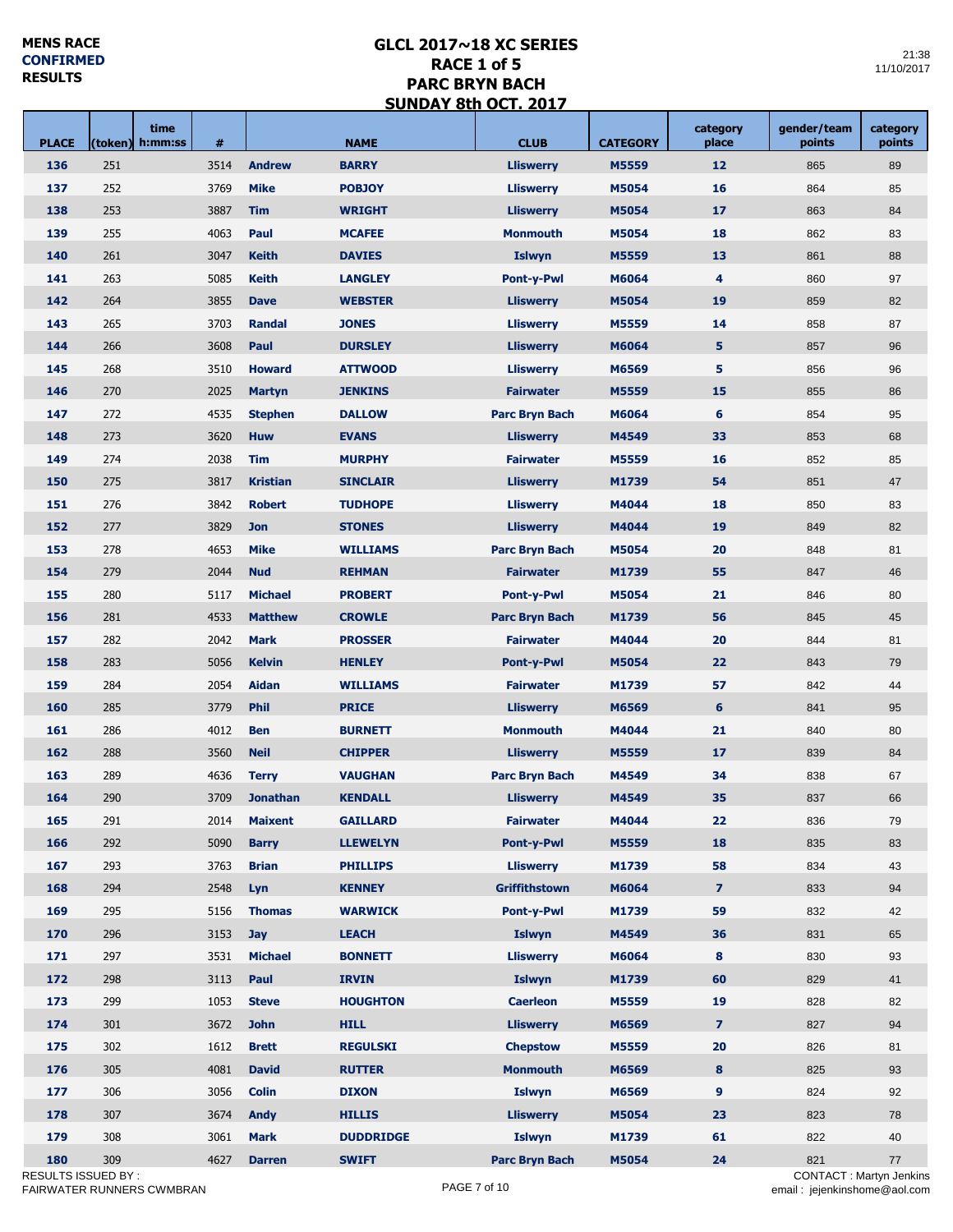<u> Tanzania (</u>

<u>a sa Tana a</u>

a a T

 $\mathcal{L}_{\mathrm{max}}$ 

| <b>PLACE</b> | (token)                | time<br>h:mm:ss | #    |                 | <b>NAME</b>      | <b>CLUB</b>           | <b>CATEGORY</b> | category<br>place       | gender/team<br>points | category<br>points |
|--------------|------------------------|-----------------|------|-----------------|------------------|-----------------------|-----------------|-------------------------|-----------------------|--------------------|
| 136          | 251                    |                 | 3514 | <b>Andrew</b>   | <b>BARRY</b>     | <b>Lliswerry</b>      | M5559           | 12                      | 865                   | 89                 |
| 137          | 252                    |                 | 3769 | <b>Mike</b>     | <b>POBJOY</b>    | <b>Lliswerry</b>      | M5054           | 16                      | 864                   | 85                 |
| 138          | 253                    |                 | 3887 | <b>Tim</b>      | <b>WRIGHT</b>    | <b>Lliswerry</b>      | M5054           | 17                      | 863                   | 84                 |
| 139          | 255                    |                 | 4063 | Paul            | <b>MCAFEE</b>    | <b>Monmouth</b>       | M5054           | 18                      | 862                   | 83                 |
| 140          | 261                    |                 | 3047 | <b>Keith</b>    | <b>DAVIES</b>    | <b>Islwyn</b>         | M5559           | 13                      | 861                   | 88                 |
| 141          | 263                    |                 | 5085 | <b>Keith</b>    | <b>LANGLEY</b>   | Pont-y-Pwl            | M6064           | $\overline{\mathbf{4}}$ | 860                   | 97                 |
| 142          | 264                    |                 | 3855 | <b>Dave</b>     | <b>WEBSTER</b>   | <b>Lliswerry</b>      | M5054           | 19                      | 859                   | 82                 |
| 143          | 265                    |                 | 3703 | <b>Randal</b>   | <b>JONES</b>     | <b>Lliswerry</b>      | M5559           | 14                      | 858                   | 87                 |
| 144          | 266                    |                 | 3608 | Paul            | <b>DURSLEY</b>   | <b>Lliswerry</b>      | M6064           | 5                       | 857                   | 96                 |
| 145          | 268                    |                 | 3510 | <b>Howard</b>   | <b>ATTWOOD</b>   | <b>Lliswerry</b>      | M6569           | 5                       | 856                   | 96                 |
| 146          | 270                    |                 | 2025 | <b>Martyn</b>   | <b>JENKINS</b>   | <b>Fairwater</b>      | M5559           | 15                      | 855                   | 86                 |
| 147          | 272                    |                 | 4535 | <b>Stephen</b>  | <b>DALLOW</b>    | <b>Parc Bryn Bach</b> | M6064           | 6                       | 854                   | 95                 |
| 148          | 273                    |                 | 3620 | <b>Huw</b>      | <b>EVANS</b>     | <b>Lliswerry</b>      | M4549           | 33                      | 853                   | 68                 |
| 149          | 274                    |                 | 2038 | <b>Tim</b>      | <b>MURPHY</b>    | <b>Fairwater</b>      | M5559           | 16                      | 852                   | 85                 |
| 150          | 275                    |                 | 3817 | <b>Kristian</b> | <b>SINCLAIR</b>  | <b>Lliswerry</b>      | M1739           | 54                      | 851                   | 47                 |
| 151          | 276                    |                 | 3842 | <b>Robert</b>   | <b>TUDHOPE</b>   | <b>Lliswerry</b>      | M4044           | 18                      | 850                   | 83                 |
| 152          | 277                    |                 | 3829 | <b>Jon</b>      | <b>STONES</b>    | <b>Lliswerry</b>      | M4044           | 19                      | 849                   | 82                 |
| 153          | 278                    |                 | 4653 | <b>Mike</b>     | <b>WILLIAMS</b>  | <b>Parc Bryn Bach</b> | M5054           | 20                      | 848                   | 81                 |
| 154          | 279                    |                 | 2044 | <b>Nud</b>      | <b>REHMAN</b>    | <b>Fairwater</b>      | M1739           | 55                      | 847                   | 46                 |
| 155          | 280                    |                 | 5117 | <b>Michael</b>  | <b>PROBERT</b>   | <b>Pont-y-Pwl</b>     | M5054           | 21                      | 846                   | 80                 |
| 156          | 281                    |                 | 4533 | <b>Matthew</b>  | <b>CROWLE</b>    | <b>Parc Bryn Bach</b> | M1739           | 56                      | 845                   | 45                 |
| 157          | 282                    |                 | 2042 | <b>Mark</b>     | <b>PROSSER</b>   | <b>Fairwater</b>      | M4044           | 20                      | 844                   | 81                 |
| 158          | 283                    |                 | 5056 | <b>Kelvin</b>   | <b>HENLEY</b>    | <b>Pont-y-Pwl</b>     | M5054           | 22                      | 843                   | 79                 |
| 159          | 284                    |                 | 2054 | <b>Aidan</b>    | <b>WILLIAMS</b>  | <b>Fairwater</b>      | M1739           | 57                      | 842                   | 44                 |
| 160          | 285                    |                 | 3779 | <b>Phil</b>     | <b>PRICE</b>     | <b>Lliswerry</b>      | M6569           | 6                       | 841                   | 95                 |
| 161          | 286                    |                 | 4012 | <b>Ben</b>      | <b>BURNETT</b>   | <b>Monmouth</b>       | M4044           | 21                      | 840                   | 80                 |
| 162          | 288                    |                 | 3560 | <b>Neil</b>     | <b>CHIPPER</b>   | <b>Lliswerry</b>      | M5559           | 17                      | 839                   | 84                 |
| 163          | 289                    |                 | 4636 | <b>Terry</b>    | <b>VAUGHAN</b>   | <b>Parc Bryn Bach</b> | M4549           | 34                      | 838                   | 67                 |
| 164          | 290                    |                 | 3709 | <b>Jonathan</b> | <b>KENDALL</b>   | <b>Lliswerry</b>      | M4549           | 35                      | 837                   | 66                 |
| 165          | 291                    |                 | 2014 | <b>Maixent</b>  | <b>GAILLARD</b>  | <b>Fairwater</b>      | M4044           | 22                      | 836                   | 79                 |
| 166          | 292                    |                 | 5090 | <b>Barry</b>    | <b>LLEWELYN</b>  | <b>Pont-y-Pwl</b>     | M5559           | 18                      | 835                   | 83                 |
| 167          | 293                    |                 | 3763 | <b>Brian</b>    | <b>PHILLIPS</b>  | <b>Lliswerry</b>      | M1739           | 58                      | 834                   | 43                 |
| 168          | 294                    |                 | 2548 | Lyn             | <b>KENNEY</b>    | Griffithstown         | M6064           | $\overline{7}$          | 833                   | 94                 |
| 169          | 295                    |                 | 5156 | <b>Thomas</b>   | <b>WARWICK</b>   | <b>Pont-y-Pwl</b>     | M1739           | 59                      | 832                   | 42                 |
| 170          | 296                    |                 | 3153 | <b>Jay</b>      | <b>LEACH</b>     | <b>Islwyn</b>         | M4549           | 36                      | 831                   | 65                 |
| 171          | 297                    |                 | 3531 | <b>Michael</b>  | <b>BONNETT</b>   | <b>Lliswerry</b>      | M6064           | 8                       | 830                   | 93                 |
| 172          | 298                    |                 | 3113 | Paul            | <b>IRVIN</b>     | Islwyn                | M1739           | 60                      | 829                   | 41                 |
| 173          | 299                    |                 | 1053 | <b>Steve</b>    | <b>HOUGHTON</b>  | <b>Caerleon</b>       | M5559           | 19                      | 828                   | 82                 |
| 174          | 301                    |                 | 3672 | <b>John</b>     | <b>HILL</b>      | <b>Lliswerry</b>      | M6569           | $\overline{7}$          | 827                   | 94                 |
| 175          | 302                    |                 | 1612 | <b>Brett</b>    | <b>REGULSKI</b>  | <b>Chepstow</b>       | M5559           | 20                      | 826                   | 81                 |
| 176          | 305                    |                 | 4081 | <b>David</b>    | <b>RUTTER</b>    | <b>Monmouth</b>       | M6569           | 8                       | 825                   | 93                 |
| 177          | 306                    |                 | 3056 | <b>Colin</b>    | <b>DIXON</b>     | <b>Islwyn</b>         | M6569           | 9                       | 824                   | 92                 |
| 178          | 307                    |                 | 3674 | <b>Andy</b>     | <b>HILLIS</b>    | <b>Lliswerry</b>      | M5054           | 23                      | 823                   | 78                 |
| 179          | 308                    |                 | 3061 | <b>Mark</b>     | <b>DUDDRIDGE</b> | Islwyn                | M1739           | 61                      | 822                   | 40                 |
| 180          | 309                    |                 | 4627 | <b>Darren</b>   | <b>SWIFT</b>     | <b>Parc Bryn Bach</b> | M5054           | 24                      | 821                   | 77                 |
|              | <b>CULTO IOOUED DV</b> |                 |      |                 |                  |                       |                 |                         | OMITACT               |                    |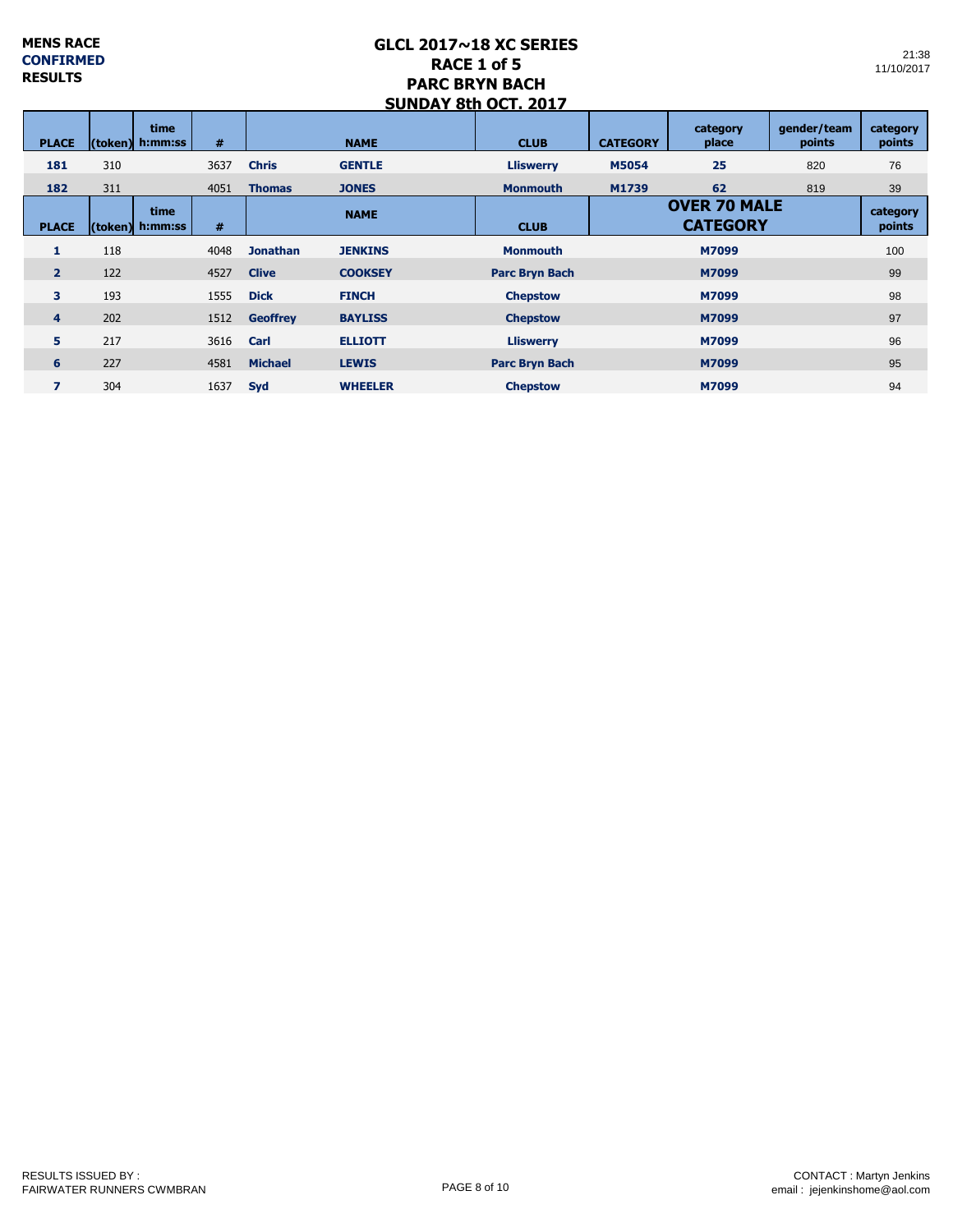|                | SUNDAT ÖLN ULT. 2017 |                                |      |                 |                |                       |                                        |                   |                       |                    |  |  |  |
|----------------|----------------------|--------------------------------|------|-----------------|----------------|-----------------------|----------------------------------------|-------------------|-----------------------|--------------------|--|--|--|
| <b>PLACE</b>   |                      | <b>time</b><br>(token) h:mm:ss | #    |                 | <b>NAME</b>    | <b>CLUB</b>           | <b>CATEGORY</b>                        | category<br>place | qender/team<br>points | category<br>points |  |  |  |
| 181            | 310                  |                                | 3637 | <b>Chris</b>    | <b>GENTLE</b>  | <b>Lliswerry</b>      | <b>M5054</b>                           | 25                | 820                   | 76                 |  |  |  |
| 182            | 311                  |                                | 4051 | <b>Thomas</b>   | <b>JONES</b>   | <b>Monmouth</b>       | M1739                                  | 62                | 819                   | 39                 |  |  |  |
| <b>PLACE</b>   |                      | time<br>(token) h:mm:ss        | #    |                 | <b>NAME</b>    | <b>CLUB</b>           | <b>OVER 70 MALE</b><br><b>CATEGORY</b> |                   | category<br>points    |                    |  |  |  |
| 1              | 118                  |                                | 4048 | <b>Jonathan</b> | <b>JENKINS</b> | <b>Monmouth</b>       |                                        | M7099             |                       | 100                |  |  |  |
| $\overline{2}$ | 122                  |                                | 4527 | <b>Clive</b>    | <b>COOKSEY</b> | <b>Parc Bryn Bach</b> |                                        | M7099             |                       |                    |  |  |  |
| 3              | 193                  |                                | 1555 | <b>Dick</b>     | <b>FINCH</b>   | <b>Chepstow</b>       |                                        | M7099             |                       |                    |  |  |  |
| $\overline{4}$ | 202                  |                                | 1512 | <b>Geoffrey</b> | <b>BAYLISS</b> | <b>Chepstow</b>       |                                        | M7099             |                       | 97                 |  |  |  |
| 5              | 217                  |                                | 3616 | Carl            | <b>ELLIOTT</b> | <b>Lliswerry</b>      |                                        | M7099             |                       | 96                 |  |  |  |
| 6              | 227                  |                                | 4581 | <b>Michael</b>  | <b>LEWIS</b>   | <b>Parc Bryn Bach</b> |                                        | M7099             |                       | 95                 |  |  |  |
| 7              | 304                  |                                | 1637 | Syd             | <b>WHEELER</b> | <b>Chepstow</b>       |                                        | M7099             |                       | 94                 |  |  |  |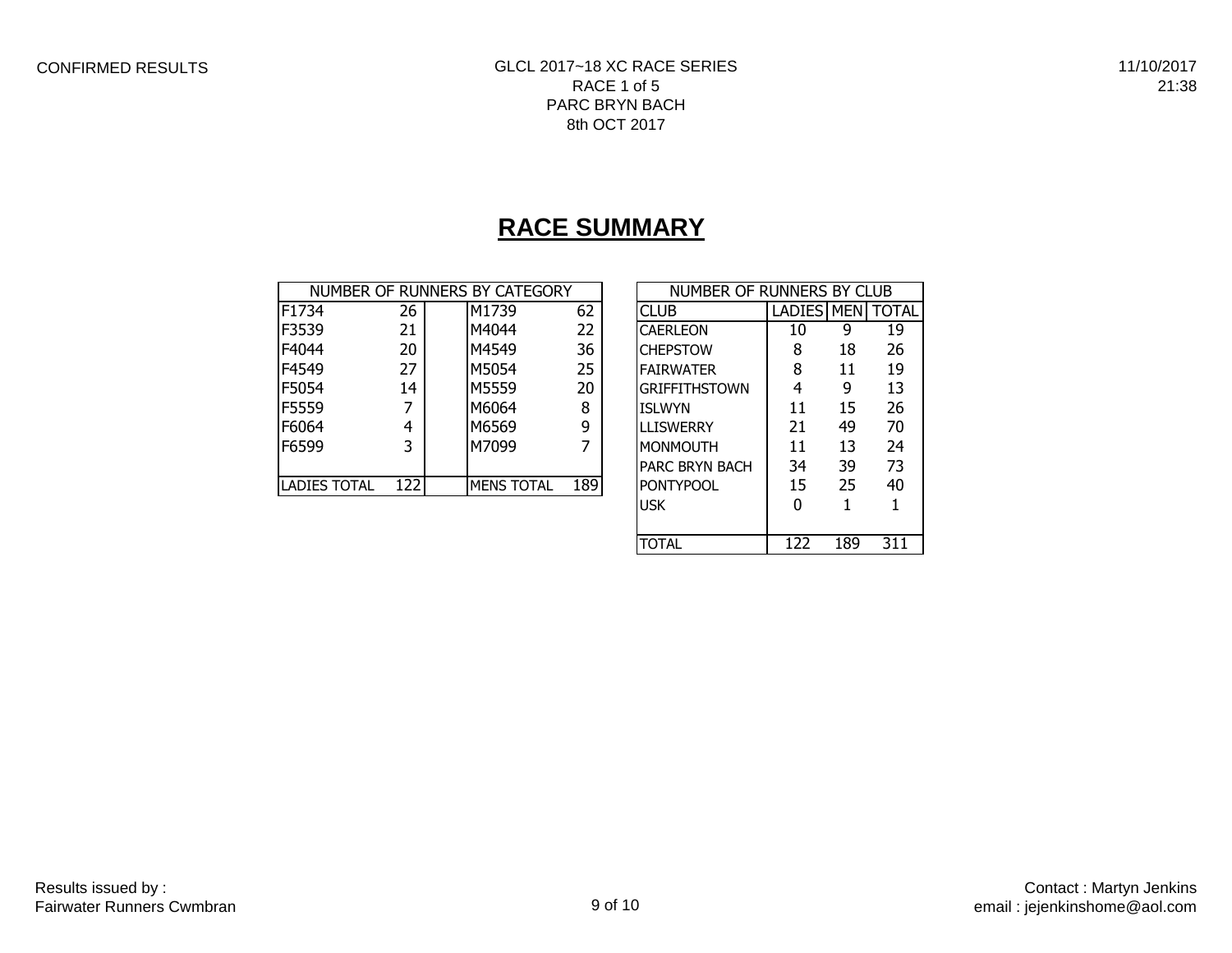# **RACE SUMMARY**

|                     |      | NUMBER OF RUNNERS BY CATEGORY |     | NUMBER OF RUNNERS BY CLUB |                   |    |              |  |
|---------------------|------|-------------------------------|-----|---------------------------|-------------------|----|--------------|--|
| F1734               | 26   | M1739                         | 62  | <b>CLUB</b>               | <b>LADIES MEN</b> |    | <b>TOTAL</b> |  |
| F3539               | 21   | M4044                         | 22  | <b>CAERLEON</b>           | 10                | 9  | 19           |  |
| F4044               | 20   | M4549                         | 36  | <b>CHEPSTOW</b>           | 8                 | 18 | 26           |  |
| F4549               | 27   | M5054                         | 25  | <b>FAIRWATER</b>          | 8                 | 11 | 19           |  |
| F5054               | 14   | M5559                         | 20  | <b>GRIFFITHSTOWN</b>      | 4                 | 9  | 13           |  |
| F5559               |      | M6064                         | 8   | <b>ISLWYN</b>             | 11                | 15 | 26           |  |
| F6064               | 4    | M6569                         | 9   | <b>LLISWERRY</b>          | 21                | 49 | 70           |  |
| F6599               | 3    | M7099                         |     | <b>MONMOUTH</b>           | 11                | 13 | 24           |  |
|                     |      |                               |     | <b>PARC BRYN BACH</b>     | 34                | 39 | 73           |  |
| <b>LADIES TOTAL</b> | 1221 | <b>MENS TOTAL</b>             | 189 | <b>PONTYPOOL</b>          | 15                | 25 | 40           |  |

| NUMBER OF RUNNERS BY CLUB |                  |     |     |  |  |  |  |  |  |  |  |
|---------------------------|------------------|-----|-----|--|--|--|--|--|--|--|--|
| CLUB                      | LADIES MEN TOTAL |     |     |  |  |  |  |  |  |  |  |
| CAERLEON                  | 10               | 9   | 19  |  |  |  |  |  |  |  |  |
| <b>CHEPSTOW</b>           | 8                | 18  | 26  |  |  |  |  |  |  |  |  |
| FAIRWATER                 | 8                | 11  | 19  |  |  |  |  |  |  |  |  |
| <b>GRIFFITHSTOWN</b>      | 4                | 9   | 13  |  |  |  |  |  |  |  |  |
| <b>ISLWYN</b>             | 11               | 15  | 26  |  |  |  |  |  |  |  |  |
| LLISWERRY                 | 21               | 49  | 70  |  |  |  |  |  |  |  |  |
| MONMOUTH                  | 11               | 13  | 24  |  |  |  |  |  |  |  |  |
| PARC BRYN BACH            | 34               | 39  | 73  |  |  |  |  |  |  |  |  |
| <b>PONTYPOOL</b>          | 15               | 25. | 40  |  |  |  |  |  |  |  |  |
| USK                       | n                | 1   | 1   |  |  |  |  |  |  |  |  |
|                           |                  |     |     |  |  |  |  |  |  |  |  |
| ΤΩΤΑΙ                     | 122              | 189 | 311 |  |  |  |  |  |  |  |  |